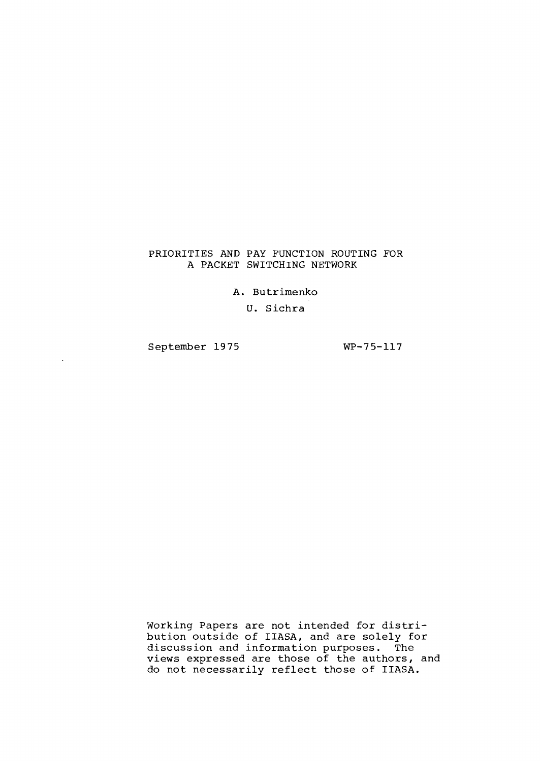#### PRIORITIES AND PAY FUNCTION ROUTING FOR A PACKET SWITCHING NETWORK

A. Butrimenko

U. Sichra

September 1975 WP-75-117

 $\hat{\mathbf{v}}$ 

Working Papers are not intended for distribution outside of IIASA, and are solely for discussion and information purposes. The views expressed are those of the authors, and do not necessarily reflect those of IIASA.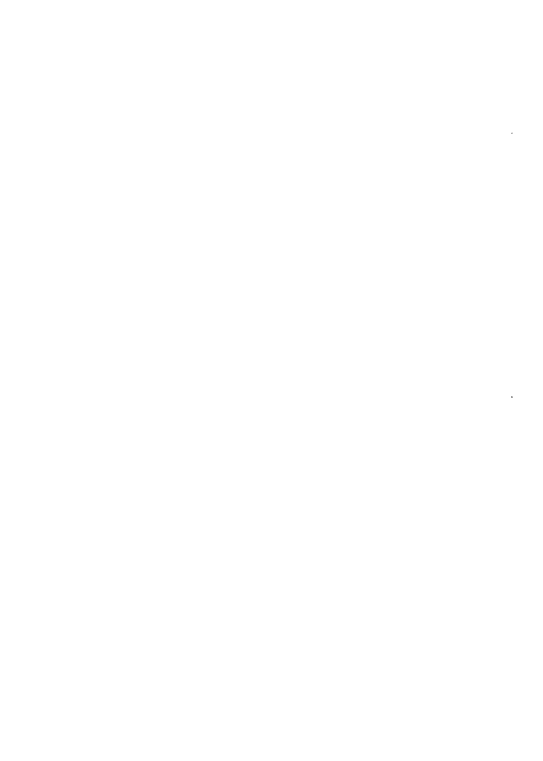$\epsilon$  $\star$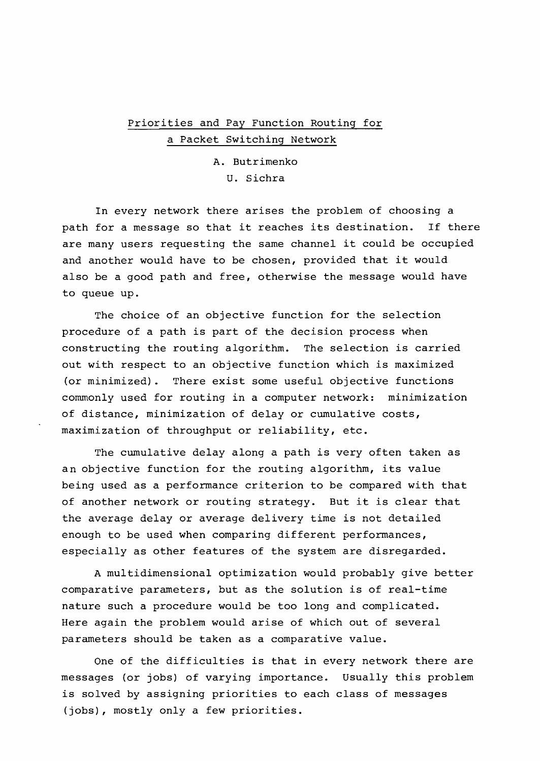# Priorities and Pay Function Routing for a Packet Switching Network

A. Butrimenko

U. Sichra

In every network there arises the problem of choosing a path for <sup>a</sup> message so that it reaches its destination. If there are many users requesting the same channel it could be occupied and another would have to be chosen, provided that it would also be a good path and free, otherwise the message would have to queue up.

The choice of an objective function for the selection procedure of <sup>a</sup> path is part of the decision process when constructing the routing algorithm. The selection is carried out with respect to an objective function which is maximized (or minimized). There exist some useful objective functions commonly used for routing in a computer network: minimization of distance, minimization of delay or cumulative costs, maximization of throughput or reliability, etc.

The cumulative delay along <sup>a</sup> path is very often taken as an objective function for the routing algorithm, its value being used as <sup>a</sup> performance criterion to be compared with that of another network or routing strategy. But it is clear that the average delay or average delivery time is not detailed enough to be used when comparing different performances, especially as other features of the system are disregarded.

<sup>A</sup> multidimensional optimization would probably give better comparative parameters, but as the solution is of real-time nature such a procedure would be too long and complicated. Here again the problem would arise of which out of several parameters should be taken as a comparative value.

One of the difficulties is that in every network there are messages (or jobs) of varying importance. Usually this problem is solved by assigning priorities to each class of messages (jobs), mostly only <sup>a</sup> few priorities.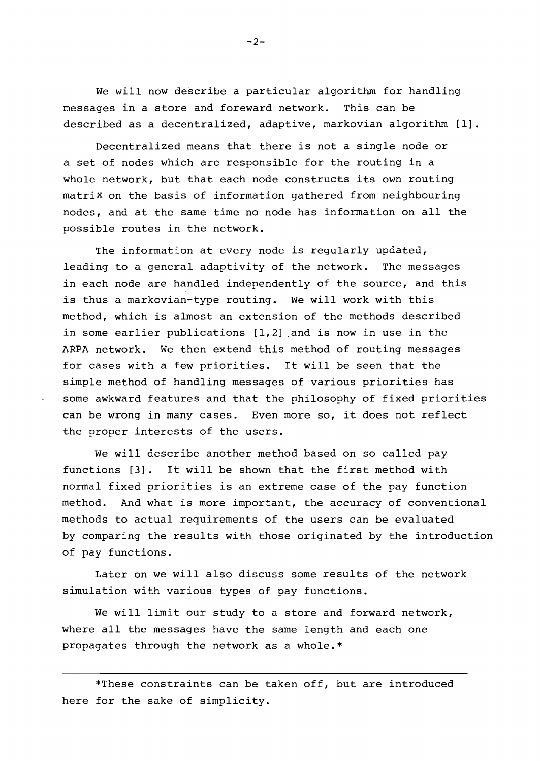We will now describe <sup>a</sup> particular algorithm for handling messages in <sup>a</sup> store and foreward network. This can be described as a decentralized, adaptive, markovian algorithm [1].

Decentralized means that there is not <sup>a</sup> single node or <sup>a</sup> set of nodes which are responsible for the routing in <sup>a</sup> whole network, but that each node constructs its own routing matrix on the basis of information gathered from neighbouring nodes, and at the same time no node has information on all the possible routes in the network.

The information at every node is regularly updated, leading to a general adaptivity of the network. The messages in each node are handled independently of the source, and this is thus <sup>a</sup> markovian-type routing. We will work with this method, which is almost an extension of the methods described in some earlier publications  $[1,2]$  and is now in use in the ARPA network. We then extend this method of routing messages for cases with <sup>a</sup> few priorities. It will be seen that the simple method of handling messages of various priorities has some awkward features and that the philosophy of fixed priorities can be wrong in many cases. Even more so, it does not reflect the proper interests of the users.

We will describe another method based on so called pay functions [3]. It will be shown that the first method with normal fixed priorities is an extreme case of the pay function method. And what is more important, the accuracy of conventional methods to actual requirements of the users can be evaluated by comparing the results with those originated by the introduction of pay functions.

Later on we will also discuss some results of the network simulation with various types of pay functions.

We will limit our study to a store and forward network, where all the messages have the same length and each one propagates through the network as a whole.\*

\*These constraints can be taken off, but are introduced here for the sake of simplicity.

 $-2-$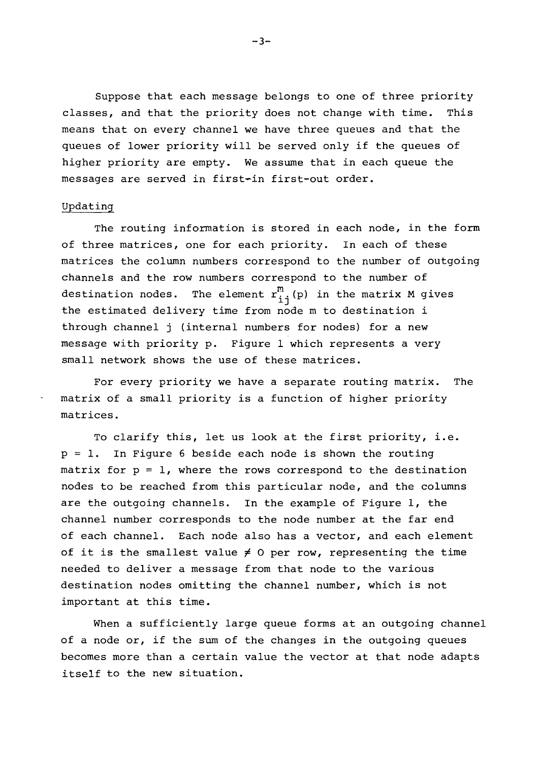Suppose that each message belongs to one of three priority classes, and that the priority does not change with time. This means that on every channel we have three queues and that the queues of lower priority will be served only if the queues of higher priority are empty. We assume that in each queue the messages are served in first-in first-out order.

#### Updating

The routing information is stored in each node, in the form of three matrices, one for each priority. In each of these matrices the column numbers correspond to the number of outgoing channels and the row numbers correspond to the number of destination nodes. The element  $r^m_{i,j}(p)$  in the matrix M gives the estimated delivery time from node m to destination i through channel <sup>j</sup> (internal numbers for nodes) for a new message with priority p. Figure <sup>1</sup> which represents <sup>a</sup> very small network shows the use of these matrices.

For every priority we have <sup>a</sup> separate routing matrix. The matrix of <sup>a</sup> small priority is <sup>a</sup> function of higher priority matrices.

To clarify this, let us look at the first priority, i.e.  $p = 1$ . In Figure 6 beside each node is shown the routing matrix for  $p = 1$ , where the rows correspond to the destination nodes to be reached from this particular node, and the columns are the outgoing channels. In the example of Figure 1, the channel number corresponds to the node number at the far end of each channel. Each node also has a vector, and each element of it is the smallest value  $\neq$  0 per row, representing the time needed to deliver <sup>a</sup> message from that node to the various destination nodes omitting the channel number, which is not important at this time.

When <sup>a</sup> sufficiently large queue forms at an outgoing channel of <sup>a</sup> node or, if the sum of the changes in the outgoing queues becomes more than <sup>a</sup> certain value the vector at that node adapts itself to the new situation.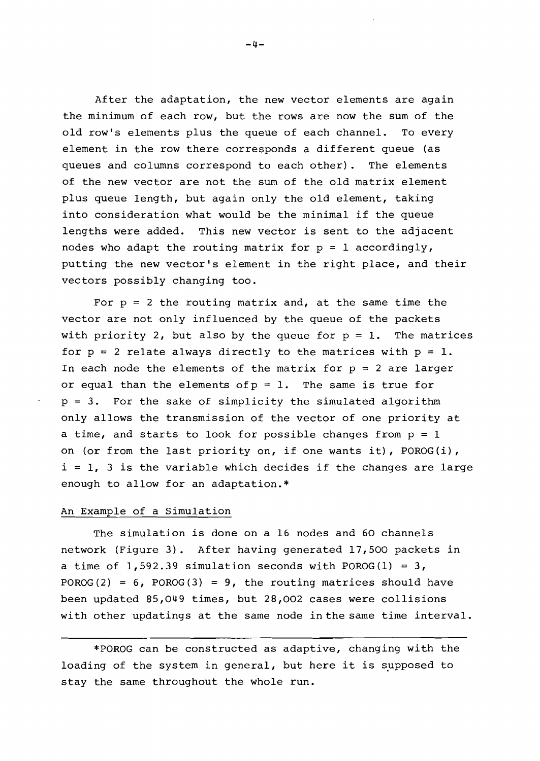After the adaptation, the new vector elements are again the minimum of each row, but the rows are now the sum of the old row's elements plus the queue of each channel. To every element in the row there corresponds <sup>a</sup> different queue (as queues and columns correspond to each other). The elements of the new vector are not the sum of the old matrix element plus queue length, but again only the old element, taking into consideration what would be the minimal if the queue lengths were added. This new vector is sent to the adjacent nodes who adapt the routing matrix for  $p = 1$  accordingly, putting the new vector's element in the right place, and their vectors possibly changing too.

For  $p = 2$  the routing matrix and, at the same time the vector are not only influenced by the queue of the packets with priority 2, but also by the queue for  $p = 1$ . The matrices for  $p = 2$  relate always directly to the matrices with  $p = 1$ . In each node the elements of the matrix for  $p = 2$  are larger or equal than the elements of  $p = 1$ . The same is true for p = 3. For the sake of simplicity the simulated algorithm only allows the transmission of the vector of one priority at a time, and starts to look for possible changes from  $p = 1$ on (or from the last priority on, if one wants it), POROG(i),  $i = 1$ , 3 is the variable which decides if the changes are large enough to allow for an adaptation.\*

#### An Example of a Simulation

The simulation is done on <sup>a</sup> 16 nodes and <sup>60</sup> channels network (Figure 3). After having generated 17,500 packets in a time of  $1,592.39$  simulation seconds with POROG(1) = 3, POROG(2) =  $6$ , POROG(3) =  $9$ , the routing matrices should have been updated 85,049 times, but 28,002 cases were collisions with other updatings at the same node in the same time interval.

\*POROG can be constructed as adaptive, changing with the loading of the system in general, but here it is supposed to stay the same throughout the whole run.

 $-4-$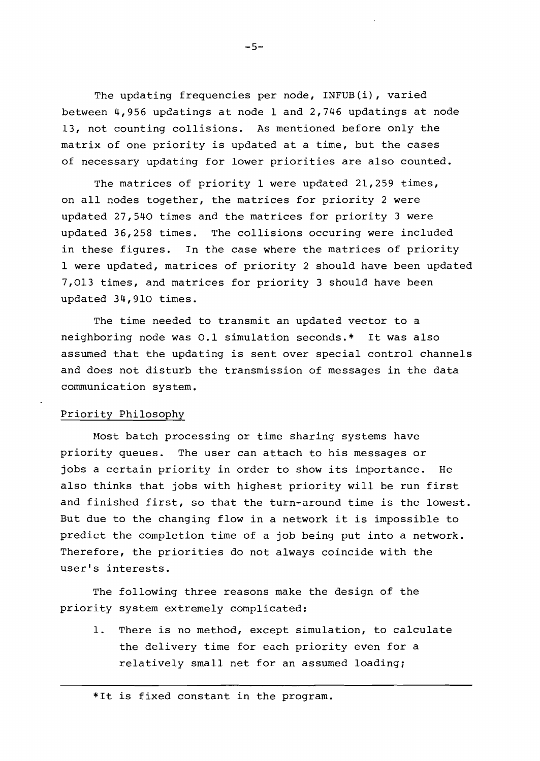The updating frequencies per node, INFUB(i), varied between 4,956 updatings at node <sup>1</sup> and 2,746 updatings at node 13, not counting collisions. As mentioned before only the matrix of one priority is updated at <sup>a</sup> time, but the cases of necessary updating for lower priorities are also counted.

The matrices of priority 1 were updated 21,259 times, on all nodes together, the matrices for priority <sup>2</sup> were updated 27,540 times and the matrices for priority <sup>3</sup> were updated 36,258 times. The collisions occuring were included in these figures. In the case where the matrices of priority <sup>1</sup> were updated, matrices of priority <sup>2</sup> should have been updated 7,013 times, and matrices for priority <sup>3</sup> should have been updated 34,910 times.

The time needed to transmit an updated vector to <sup>a</sup> neighboring node was 0.1 simulation seconds.\* It was also assumed that the updating is sent over special control channels and does not disturb the transmission of messages in the data communication system.

#### Priority Philosophy

Most batch processing or time sharing systems have priority queues. The user can attach to his messages or jobs <sup>a</sup> certain priority in order to show its importance. He also thinks that jobs with highest priority will be run first and finished first, so that the turn-around time is the lowest. But due to the changing flow in <sup>a</sup> network it is impossible to predict the completion time of a job being put into a network. Therefore, the priorities do not always coincide with the user's interests.

The following three reasons make the design of the priority system extremely complicated:

1. There is no method, except simulation, to calculate the delivery time for each priority even for <sup>a</sup> relatively small net for an assumed loading;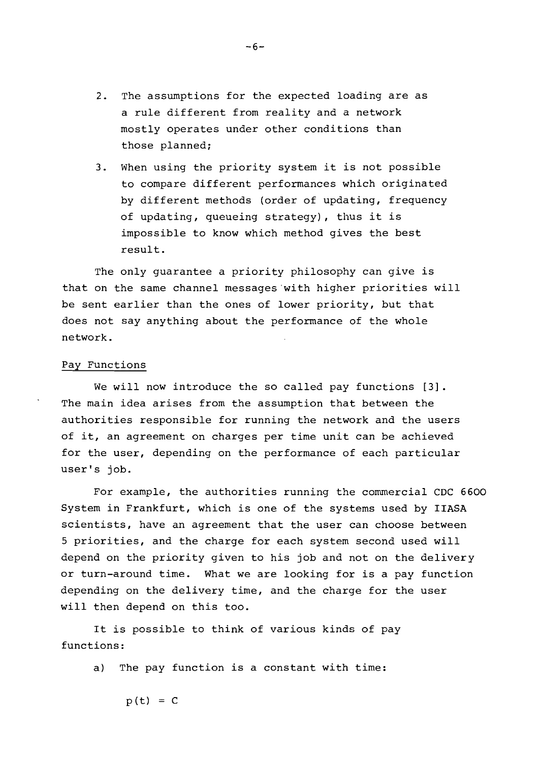- 2. The assumptions for the expected loading are as <sup>a</sup> rule different from reality and <sup>a</sup> network mostly operates under other conditions than those planned;
- 3. When using the priority system it is not possible to compare different performances which originated by different methods (order of updating, frequency of updating, queueing strategy), thus it is impossible to know which method gives the best result.

The only guarantee <sup>a</sup> priority philosophy can give is that on the same channel messages 'with higher priorities will be sent earlier than the ones of lower priority, but that does not say anything about the performance of the whole network.

#### Pay Functions

We will now introduce the so called pay functions [3]. The main idea arises from the assumption that between the authorities responsible for running the network and the users of it, an agreement on charges per time unit can be achieved for the user, depending on the performance of each particular user's job.

For example, the authorities running the commercial CDC 6600 System in Frankfurt, which is one of the systems used by IIASA scientists, have an agreement that the user can choose between <sup>5</sup> priorities, and the charge for each system second used will depend on the priority given to his job and not on the delivery or turn-around time. What we are looking for is <sup>a</sup> pay function depending on the delivery time, and the charge for the user will then depend on this too.

It is possible to think of various kinds of pay functions:

a) The pay function is <sup>a</sup> constant with time:

 $p(t) = C$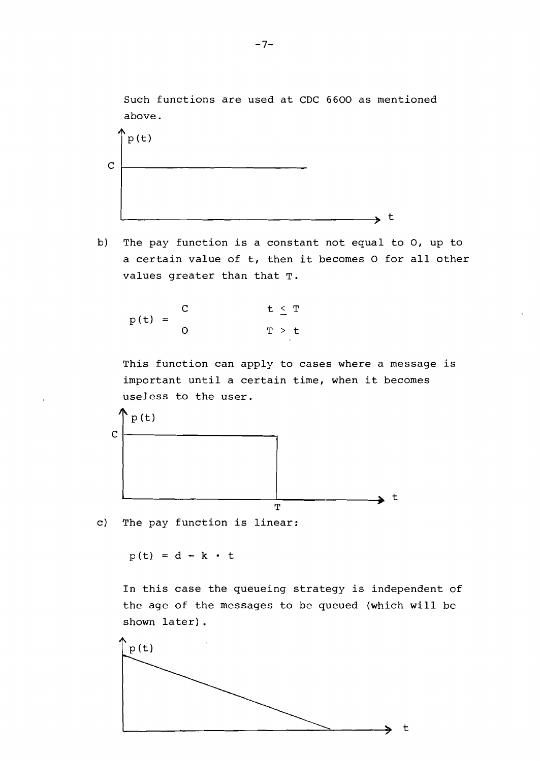above.  $p(t)$ C t

b) The pay function is <sup>a</sup> constant not equal to 0, up to <sup>a</sup> certain value of t, then it becomes <sup>0</sup> for all other values greater than that T.

$$
p(t) = \begin{array}{ccc} C & t \leq T \\ 0 & T > t \end{array}
$$

This function can apply to cases where <sup>a</sup> message is important until <sup>a</sup> certain time, when it becomes useless to the user.



c) The pay function is linear:

 $p(t) = d - k \cdot t$ 

In this case the queueing strategy is independent of the age of the messages to be queued (which will be shown later).



Such functions are used at CDC 6600 as mentioned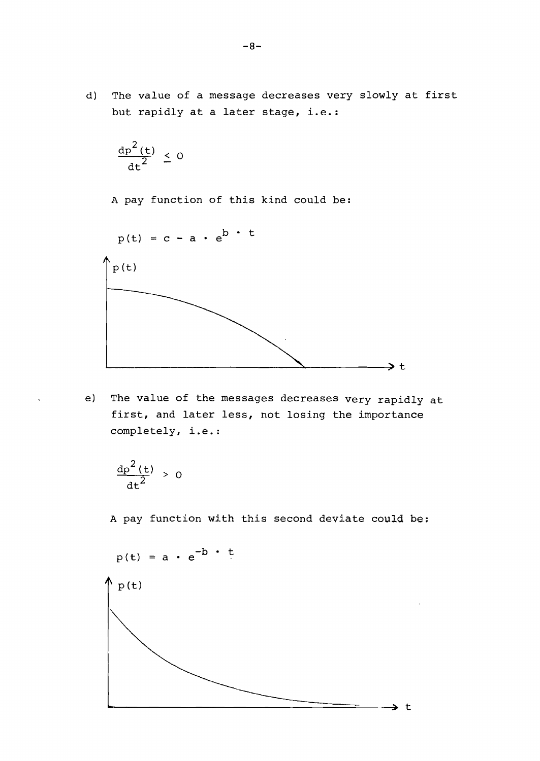d) The value of <sup>a</sup> message decreases very slowly at first but rapidly at <sup>a</sup> later stage, i.e.:

$$
\frac{\mathrm{dp}^2(\mathrm{t})}{\mathrm{dt}^2} \leq 0
$$

<sup>A</sup> pay function of this kind could be:



e) The value of the messages decreases very rapidly at first, and later less, not losing the importance completely, i.e.:

$$
\frac{\mathrm{dp}^2(\mathrm{t})}{\mathrm{dt}^2} > 0
$$

<sup>A</sup> pay function with this second deviate could be:

$$
p(t) = a \cdot e^{-b \cdot t}
$$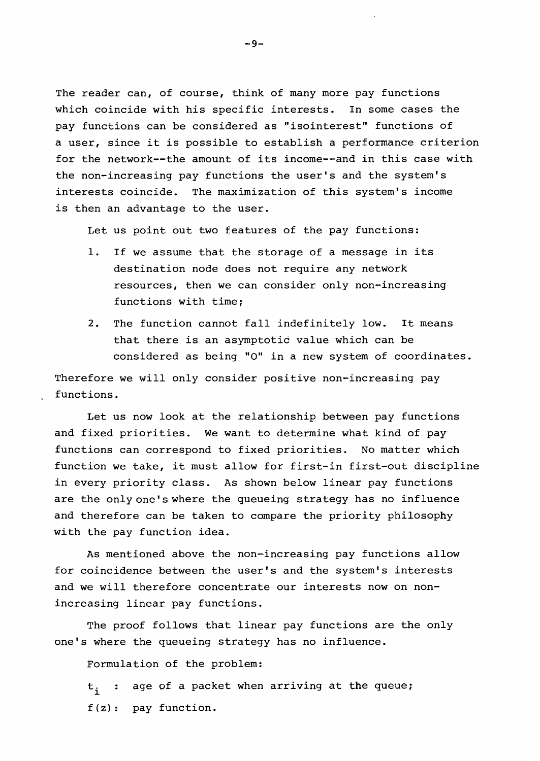The reader can, of course, think of many more pay functions which coincide with his specific interests. In some cases the pay functions can be considered as "isointerest" functions of <sup>a</sup> user, since it is possible to establish <sup>a</sup> performance criterion for the network--the amount of its income--and in this case with the non-increasing pay functions the user's and the system's interests coincide. The maximization of this system's income is then an advantage to the user.

Let us point out two features of the pay functions:

- 1. If we assume that the storage of <sup>a</sup> message in its destination node does not require any network resources, then we can consider only non-increasing functions with time;
- 2. The function cannot fall indefinitely low. It means that there is an asymptotic value which can be considered as being "0" in a new system of coordinates.

Therefore we will only consider positive non-increasing pay functions.

Let us now look at the relationship between pay functions and fixed priorities. We want to determine what kind of pay functions can correspond to fixed priorities. No matter which function we take, it must allow for first-in first-out discipline in every priority class. As shown below linear pay functions are the only one's where the queueing strategy has no influence and therefore can be taken to compare the priority philosophy with the pay function idea.

As mentioned above the non-increasing pay functions allow for coincidence between the user's and the system's interests and we will therefore concentrate our interests now on nonincreasing linear pay functions.

The proof follows that linear pay functions are the only one's where the queueing strategy has no influence.

Formulation of the problem:

 $t_i$  : age of a packet when arriving at the queue; f(z): pay function.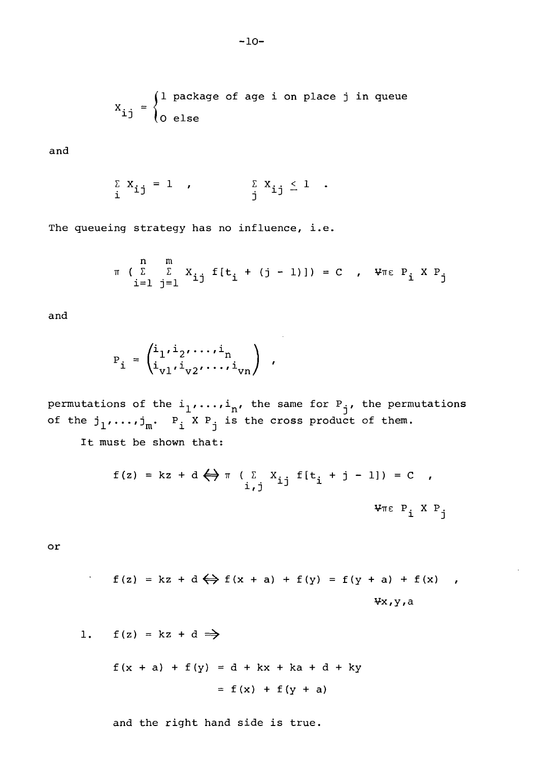$$
X_{ij} = \begin{cases} 1 & \text{package of age i on place j in queue} \\ 0 & \text{else} \end{cases}
$$

and

$$
\sum_{i=1}^{n} x_{ij} = 1 , \qquad \sum_{j=1}^{n} x_{ij} \leq 1
$$

The queueing strategy has no influence, i.e.

$$
\begin{array}{cccc}\nn & m \\
\pi & (\sum_{i=1}^{n} & \sum_{j=1}^{m} & x_{ij} \text{ f}[t_{i} + (j-1)]) = c, & \text{where } P_{i} \times P_{j} \\
\end{array}
$$

 $\sim 10$ 

 $\ddot{\phantom{a}}$ 

and

$$
P_i = \begin{pmatrix} i_1, i_2, \dots, i_n \\ i_{v1}, i_{v2}, \dots, i_{vn} \end{pmatrix} ,
$$

permutations of the  $i_1,\ldots,i_n$ , the same permutations of the  $1_1, \ldots, 1_n$ , the same<br>of the  $j_1, \ldots, j_m$ .  $P_i$  X  $P_j$  is the cross for P<sub>j</sub>, the permutations product of them.

It must be shown that:

$$
f(z) = kz + d \Leftrightarrow \pi (\sum_{i,j} X_{ij} f[t_{i} + j - 1]) = C ,
$$
  

$$
\Psi_{\pi E} P_{i} X P_{j}
$$

or

$$
f(z) = kz + d \Leftrightarrow f(x + a) + f(y) = f(y + a) + f(x) ,
$$
  

$$
\Psi x, y, a
$$

1. 
$$
f(z) = kz + d \Rightarrow
$$
  
\n $f(x + a) + f(y) = d + kx + ka + d + ky$   
\n $= f(x) + f(y + a)$ 

and the right hand side is true.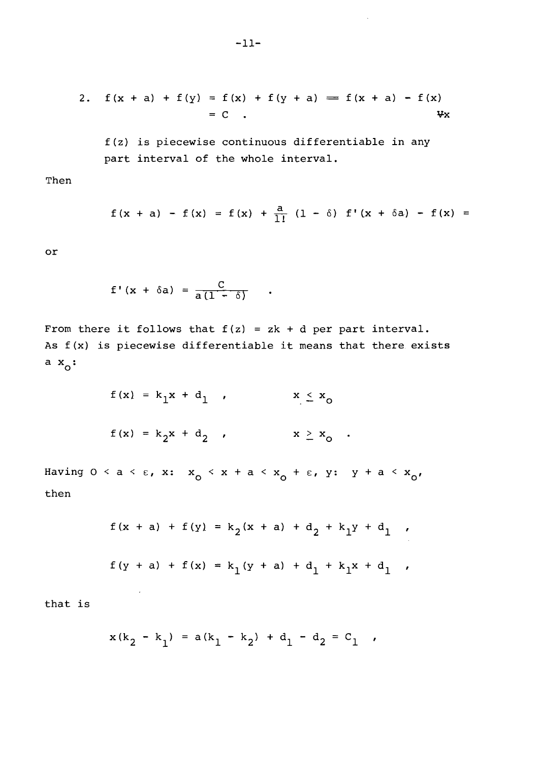2. 
$$
f(x + a) + f(y) = f(x) + f(y + a) = f(x + a) - f(x)
$$
  
= C.

f(z) is piecewise continuous differentiable in any part interval of the whole interval.

Then

$$
f(x + a) - f(x) = f(x) + \frac{a}{1!} (1 - \delta) f'(x + \delta a) - f(x) =
$$

or

$$
f'(x + \delta a) = \frac{C}{a(1 - \delta)} \qquad .
$$

From there it follows that  $f(z) = zk + d$  per part interval. As f(x) is piecewise differentiable it means that there exists a  $x_0$ :

$$
f(x) = k_1 x + d_1 , \qquad x \leq x_0
$$

$$
f(x) = k_2 x + d_2 , \qquad x \geq x_0 .
$$

Having  $0 < a < \varepsilon$ , x:  $x_0 < x + a < x_0 + \varepsilon$ , y:  $y + a < x_0$ , then

$$
f(x + a) + f(y) = k_2(x + a) + d_2 + k_1y + d_1
$$
  
 $f(y + a) + f(x) = k_1(y + a) + d_1 + k_1x + d_1$ ,

that is

$$
x(k_2 - k_1) = a(k_1 - k_2) + d_1 - d_2 = C_1
$$
,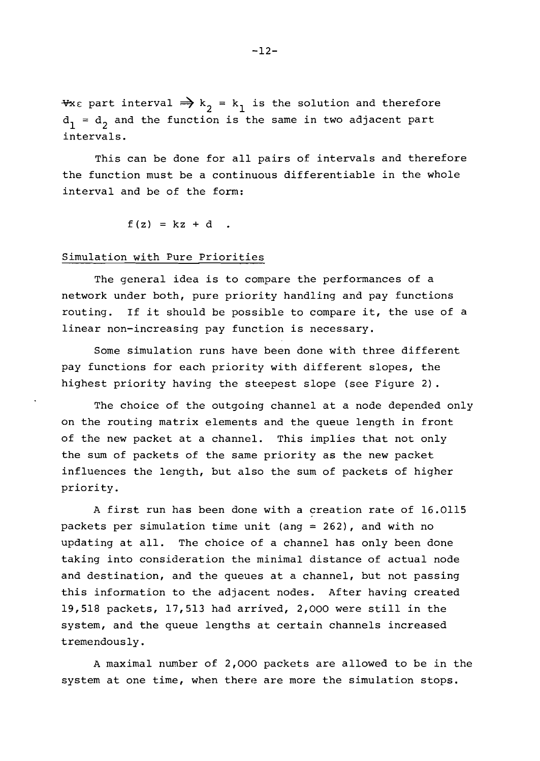$\forall x \in \mathbb{R}$  interval  $\Rightarrow k_{1} = k_{1}$  is the solution and therefore  $d_1 = d_2$  and the function is the same in two adjacent part intervals.

This can be done for all pairs of intervals and therefore the function must be <sup>a</sup> continuous differentiable in the whole interval and be of the form:

$$
f(z) = kz + d
$$

#### Simulation with Pure Priorities

The general idea is to compare the performances of <sup>a</sup> network under both, pure priority handling and pay functions routing. If it should be possible to compare it, the use of <sup>a</sup> linear non-increasing pay function is necessary.

Some simulation runs have been done with three different pay functions for each priority with different slopes, the highest priority having the steepest slope (see Figure 2).

The choice of the outgoing channel at <sup>a</sup> node depended only on the routing matrix elements and the queue length in front of the new packet at <sup>a</sup> channel. This implies that not only the sum of packets of the same priority as the new packet influences the length, but also the sum of packets of higher priority.

<sup>A</sup> first run has been done with <sup>a</sup> creation rate of 16.0115 packets per simulation time unit (ang = 262), and with no updating at all. The choice of <sup>a</sup> channel has only been done taking into consideration the minimal distance of actual node and destination, and the queues at <sup>a</sup> channel, but not passing this information to the adjacent nodes. After having created 19,518 packets, 17,513 had arrived, 2,000 were still in the system, and the queue lengths at certain channels increased tremendously.

A maximal number of 2,000 packets are allowed to be in the system at one time, when there are more the simulation stops.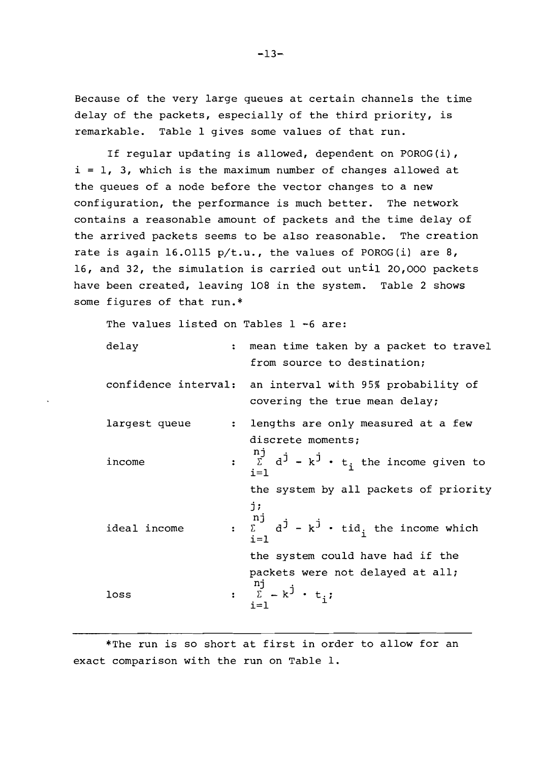Because of the very large queues at certain channels the time delay of the packets, especially of the third priority, is remarkable. Table <sup>1</sup> gives some values of that run.

If regular updating is allowed, dependent on POROG{i),  $i = 1$ , 3, which is the maximum number of changes allowed at the queues of a node before the vector changes to a new configuration, the performance is much better. The network contains a reasonable amount of packets and the time delay of the arrived packets seems to be also reasonable. The creation rate is again 16.0115  $p/t.u.$ , the values of POROG(i) are 8, 16, and 32, the simulation is carried out until 20,000 packets have been created, leaving 108 in the system. Table 2 shows some figures of that run.\*

The values listed on Tables  $1 -6$  are:

| delay         | $\ddot{\bullet}$ | mean time taken by a packet to travel<br>from source to destination;                      |
|---------------|------------------|-------------------------------------------------------------------------------------------|
|               |                  | confidence interval: an interval with 95% probability of<br>covering the true mean delay; |
| largest queue |                  | : lengths are only measured at a few                                                      |
| income        |                  | discrete moments;<br>: $\sum_{i=1}^{n} d^{j} - k^{j} \cdot t_{i}$ the income given to     |
|               |                  | the system by all packets of priority                                                     |
| ideal income  |                  | j;<br>: $\Sigma$ $a^j - k^j$ · tid <sub>i</sub> the income which                          |
|               |                  | the system could have had if the                                                          |
| loss          |                  | packets were not delayed at all;<br>$\sum_{\sum}^{nj} -k^j \cdot t_i$                     |

\*The run is so short at first in order to allow for an exact comparison with the run on Table 1.

 $-13-$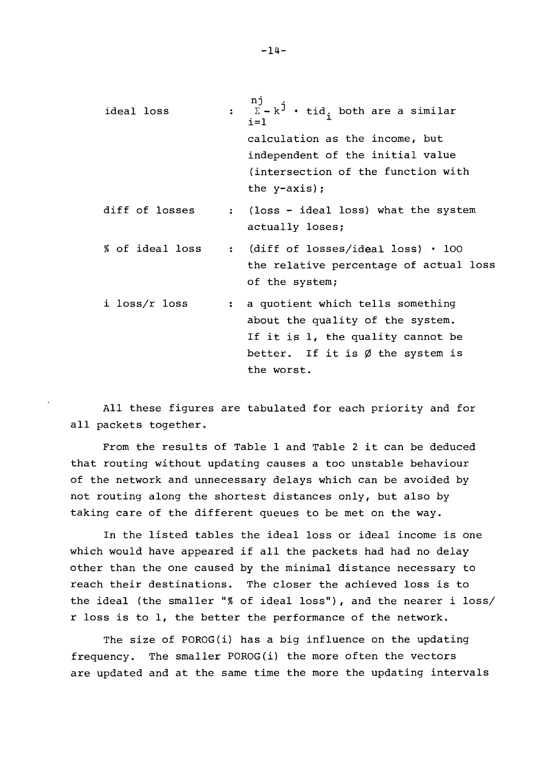| ideal loss      | $\sum_{i=1}^{n}$ $\sum_{i=1}^{n}$ $\sum_{i=1}^{n}$ $\sum_{i=1}^{n}$ $\sum_{i=1}^{n}$ $\sum_{i=1}^{n}$ $\sum_{i=1}^{n}$ $\sum_{i=1}^{n}$<br>$i=1$                        |
|-----------------|-------------------------------------------------------------------------------------------------------------------------------------------------------------------------|
|                 | calculation as the income, but<br>independent of the initial value<br>(intersection of the function with<br>the $y$ -axis);                                             |
| diff of losses  | : (loss - ideal loss) what the system<br>actually loses;                                                                                                                |
| % of ideal loss | : (diff of losses/ideal loss) $\cdot$ 100<br>the relative percentage of actual loss<br>of the system;                                                                   |
| i loss/r loss   | : a quotient which tells something<br>about the quality of the system.<br>If it is 1, the quality cannot be<br>better. If it is $\emptyset$ the system is<br>the worst. |

All these figures are tabulated for each priority and for all packets together.

From the results of Table <sup>1</sup> and Table <sup>2</sup> it can be deduced that routing without updating causes <sup>a</sup> too unstable behaviour of the network and unnecessary delays which can be avoided by not routing along the shortest distances only, but also by taking care of the different queues to be met on the way.

In the listed tables the ideal loss or ideal income is one which would have appeared if all the packets had had no delay other than the one caused by the minimal distance necessary to reach their destinations. The closer the achieved loss is to the ideal (the smaller "% of ideal loss"), and the nearer i loss/ <sup>r</sup> loss is to 1, the better the performance of the network.

The size of POROG(i) has a big influence on the updating frequency. The smaller POROG(i) the more often the vectors are updated and at the same time the more the updating intervals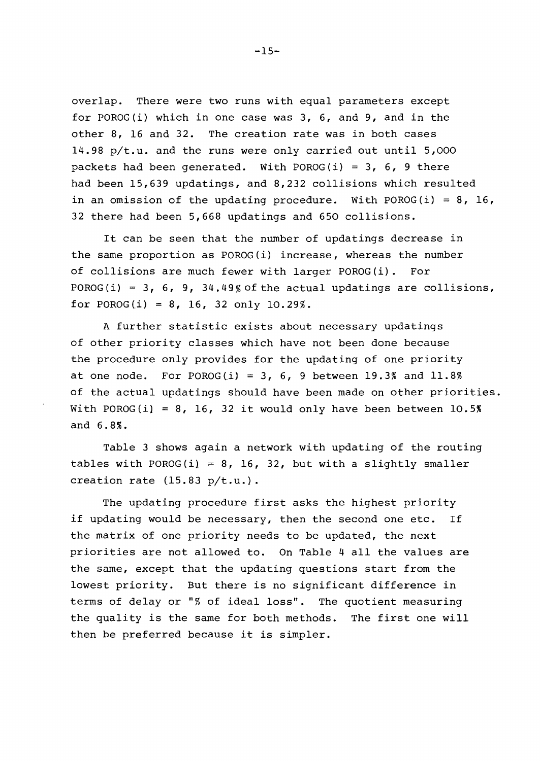overlap. There were two runs with equal parameters except for POROG(i) which in one case was 3, 6, and 9, and in the other 8, 16 and 32. The creation rate was in both cases 14.98 p/t.u. and the runs were only carried out until 5,000 packets had been generated. With POROG(i) = 3, 6, 9 there had been 15,639 updatings, and 8,232 collisions which resulted in an omission of the updating procedure. With POROG(i) =  $8$ , 16, 32 there had been 5,668 updatings and 650 collisions.

It can be seen that the number of updatings decrease in the same proportion as  $POROG(i)$  increase, whereas the number of collisions are much fewer with larger POROG(i). For POROG(i) =  $3$ ,  $6$ ,  $9$ ,  $34.49%$  of the actual updatings are collisions, for  $POROG(i) = 8, 16, 32$  only  $10.29\%$ .

<sup>A</sup> further statistic exists about necessary updatings of other priority classes which have not been done because the procedure only provides for the updating of one priority at one node. For POROG(i) =  $3, 6, 9$  between 19.3% and 11.8% of the actual updatings should have been made on other priorities. With POROG(i) = 8, 16, 32 it would only have been between  $10.5%$ and 6.8%.

Table 3 shows again a network with updating of the routing tables with POROG(i) = 8, 16, 32, but with a slightly smaller creation rate (15.83 p/t.u.).

The updating procedure first asks the highest priority if updating would be necessary, then the second one etc. If the matrix of one priority needs to be updated, the next priorities are not allowed to. On Table <sup>4</sup> all the values are the same, except that the updating questions start from the lowest priority. But there is no significant difference in terms of delay or "% of ideal loss". The quotient measuring the quality is the same for both methods. The first one will then be preferred because it is simpler.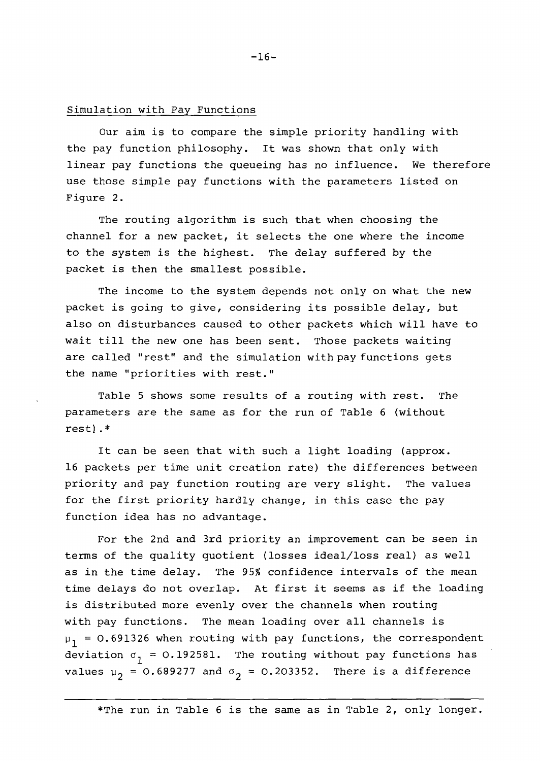#### Simulation with Pay Functions

Our aim is to compare the simple priority handling with the pay function philosophy. It was shown that only with linear pay functions the queueing has no influence. We therefore use those simple pay functions with the parameters listed on Figure 2.

The routing algorithm is such that when choosing the channel for <sup>a</sup> new packet, it selects the one where the income to the system is the highest. The delay suffered by the packet is then the smallest possible.

The income to the system depends not only on what the new packet is going to give, considering its possible delay, but also on disturbances caused to other packets which will have to wait till the new one has been sent. Those packets waiting are called "rest" and the simulation with pay functions gets the name "priorities with rest."

Table <sup>5</sup> shows some results of <sup>a</sup> routing with rest. The parameters are the same as for the run of Table 6 (without restl.\*

It can be seen that with such <sup>a</sup> light loading (approx. 16 packets per time unit creation rate) the differences between priority and pay function routing are very slight. The values for the first priority hardly change, in this case the pay function idea has no advantage.

For the 2nd and 3rd priority an improvement can be seen in terms of the quality quotient (losses ideal/loss real) as well as in the time delay. The 95% confidence intervals of the mean time delays do not overlap. At first it seems as if the loading is distributed more evenly over the channels when routing with pay functions. The mean loading over all channels is  $\mu_1$  = 0.691326 when routing with pay functions, the correspondent deviation  $\sigma_1 = 0.192581$ . The routing without pay functions has values  $\mu_2$  = 0.689277 and  $\sigma_2$  = 0.203352. There is a difference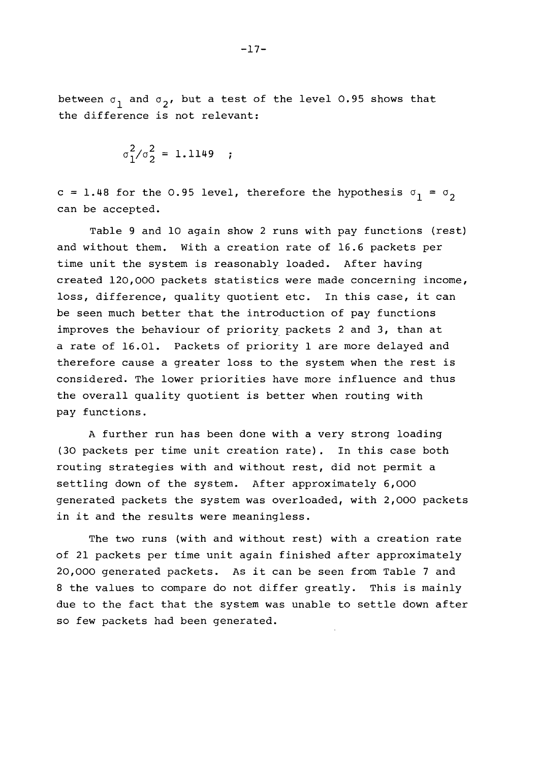between  $\sigma_1$  and  $\sigma_2$ , but a test of the level 0.95 shows that the difference is not relevant:

$$
\sigma_1^2/\sigma_2^2 = 1.1149 ;
$$

c = 1.48 for the 0.95 level, therefore the hypothesis  $\sigma_1 = \sigma_2$ can be accepted.

Table 9 and 10 again show 2 runs with pay functions (rest) and without them. With a creation rate of 16.6 packets per time unit the system is reasonably loaded. After having created 120,000 packets statistics were made concerning income, loss, difference, quality quotient etc. In this case, it can be seen much better that the introduction of pay functions improves the behaviour of priority packets <sup>2</sup> and 3, than at <sup>a</sup> rate of 16.01. Packets of priority <sup>1</sup> are more delayed and therefore cause <sup>a</sup> greater loss to the system when the rest is considered. The lower priorities have more influence and thus the overall quality quotient is better when routing with pay functions.

A further run has been done with a very strong loading (30 packets per time unit creation rate). In this case both routing strategies with and without rest, did not permit <sup>a</sup> settling down of the system. After approximately 6,000 generated packets the system was overloaded, with 2,000 packets in it and the results were meaningless.

The two runs (with and without rest) with a creation rate of <sup>21</sup> packets per time unit again finished after approximately 20,000 generated packets. As it can be seen from Table <sup>7</sup> and <sup>8</sup> the values to compare do not differ greatly. This is mainly due to the fact that the system was unable to settle down after so few packets had been generated.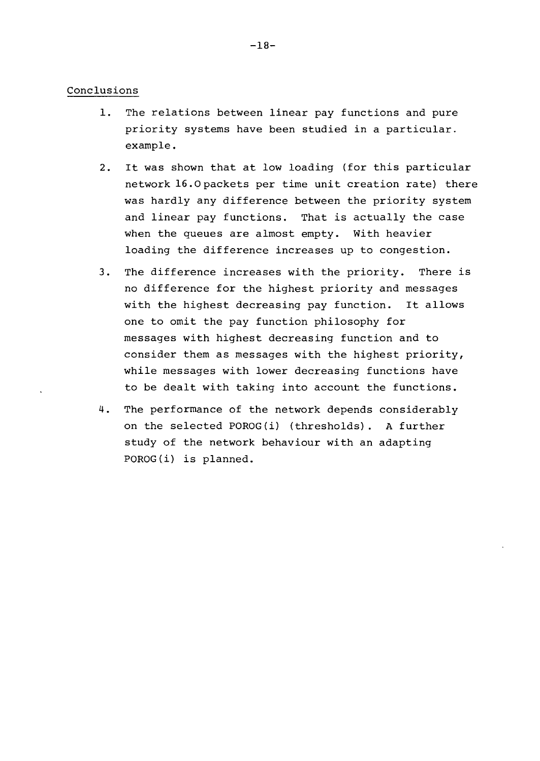#### Conclusions

- 1. The relations between linear pay functions and pure priority systems have been studied in <sup>a</sup> particular. example.
- 2. It was shown that at low loading (for this particular network l6.0packets per time unit creation rate) there was hardly any difference between the priority system and linear pay functions. That is actually the case when the queues are almost empty. With heavier loading the difference increases up to congestion.
- 3. The difference increases with the priority. There is no difference for the highest priority and messages with the highest decreasing pay function. It allows one to omit the pay function philosophy for messages with highest decreasing function and to consider them as messages with the highest priority, while messages with lower decreasing functions have to be dealt with taking into account the functions.
- 4. The performance of the network depends considerably on the selected POROG(i) (thresholds). A further study of the network behaviour with an adaptingPOROG(i) is planned.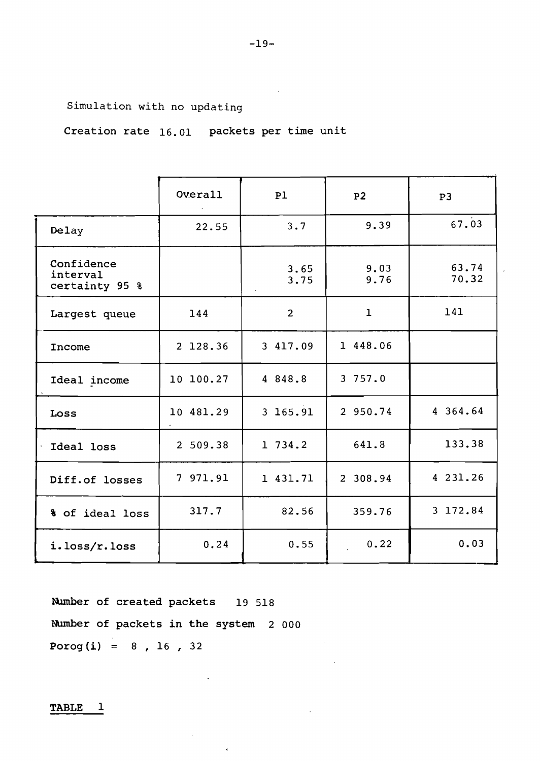Simulation with no updating

Creation rate 16.01 packets per time unit

|                                          | Overall   | P1             | P <sub>2</sub> | P <sub>3</sub> |
|------------------------------------------|-----------|----------------|----------------|----------------|
| Delay                                    | 22.55     | 3.7            | 9.39           | 67.03          |
| Confidence<br>interval<br>certainty 95 % |           | 3.65<br>3.75   | 9.03<br>9.76   | 63.74<br>70.32 |
| Largest queue                            | 144       | $\overline{2}$ | $\mathbf 1$    | 141            |
| Income                                   | 2 128.36  | 3 417.09       | 1 448.06       |                |
| Ideal income                             | 10 100.27 | 4 848.8        | 3 757.0        |                |
| Loss                                     | 10 481.29 | 3 165.91       | 2 950.74       | 4 364.64       |
| Ideal loss                               | 2 509.38  | 1 734.2        | 641.8          | 133.38         |
| Diff.of losses                           | 7 971.91  | 1 431.71       | 2 308.94       | 4 231.26       |
| % of ideal loss                          | 317.7     | 82.56          | 359.76         | 3 172.84       |
| i.loss/r.loss                            | 0.24      | 0.55           | 0.22           | 0.03           |

 $\sim 10^7$ 

NUmber of created packets 19 518 NUmber of packets in the system 2 000 Porog(i) =  $8$ , 16, 32

 $\ddot{\phantom{1}}$ 

 $\hat{\mathbf{z}}$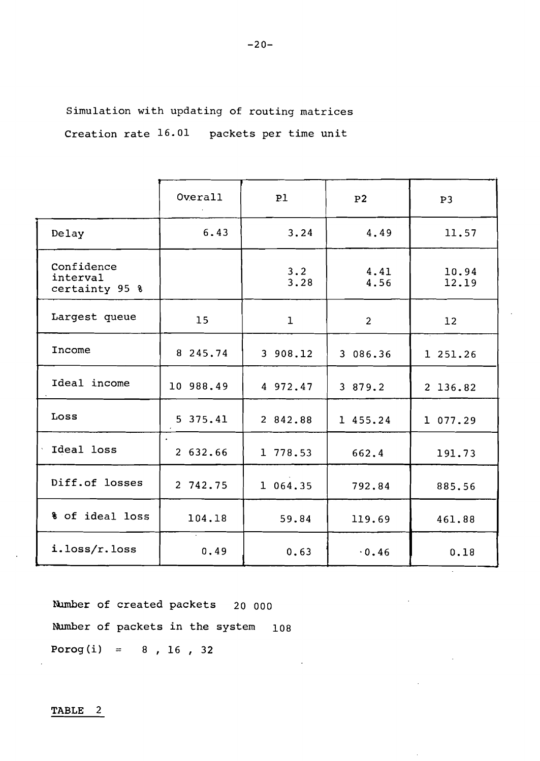Simulation with updating of routing matrices

Creation rate 16.01 packets per time unit

|                                          | Overall<br>$\sim$ | P1           | P <sub>2</sub> | P <sub>3</sub>  |
|------------------------------------------|-------------------|--------------|----------------|-----------------|
| Delay                                    | 6.43              | 3.24         | 4.49           | 11.57           |
| Confidence<br>interval<br>certainty 95 % |                   | 3.2<br>3.28  | 4.41<br>4.56   | 10.94<br>12.19  |
| Largest queue                            | 15                | $\mathbf{1}$ | 2 <sup>1</sup> | 12 <sup>2</sup> |
| Income                                   | 8 245.74          | 3 908.12     | 3 086.36       | 1 251.26        |
| Ideal income                             | 10 988.49         | 4 972.47     | 3 879.2        | 2 136.82        |
| Loss                                     | 5 375.41          | 2 842.88     | 1 455.24       | 1 077.29        |
| Ideal loss                               | 2 632.66          | 1 778.53     | 662.4          | 191.73          |
| Diff.of losses                           | 2 742.75          | 1 064.35     | 792.84         | 885.56          |
| % of ideal loss                          | 104.18            | 59.84        | 119.69         | 461.88          |
| i.loss/r.loss                            | 0.49              | 0.63         | 0.46           | 0.18            |

NUmber of created packets 20 000 Number of packets in the system 108 Porog(i) =  $8$ , 16, 32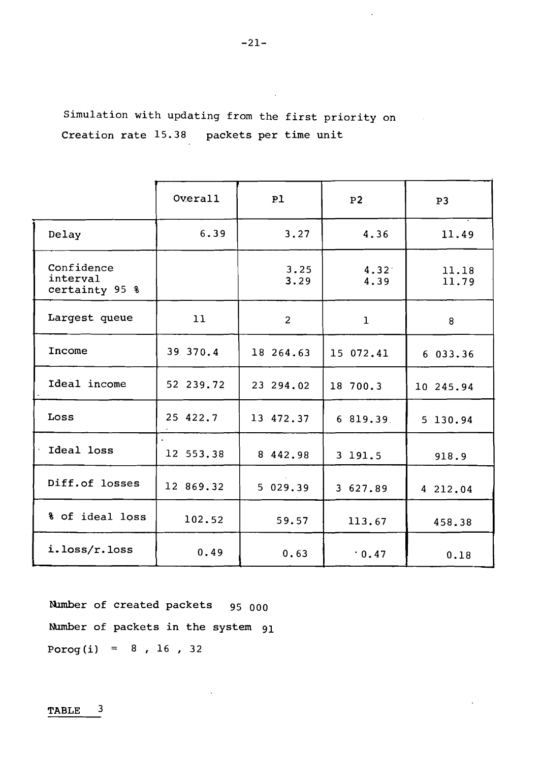Simulation with updating from the first priority on Creation rate 15.38 packets per time unit

|                                          | Overall   | P1             | P <sub>2</sub> | P <sub>3</sub> |
|------------------------------------------|-----------|----------------|----------------|----------------|
| Delay                                    | 6.39      | 3.27           | 4.36           | 11.49          |
| Confidence<br>interval<br>certainty 95 % |           | 3.25<br>3.29   | 4.32<br>4.39   | 11.18<br>11.79 |
| Largest queue                            | 11        | $\overline{2}$ | $\mathbf{1}$   | 8              |
| Income                                   | 39 370.4  | 18 264.63      | 15 072.41      | 6033.36        |
| Ideal income                             | 52 239.72 | 23 294.02      | 18 700.3       | 10 245.94      |
| Loss                                     | 25 422.7  | 13 472.37      | 6819.39.       | 5 130.94       |
| Ideal loss                               | 12 553.38 | 8 442.98       | 3 191.5        | 918.9          |
| Diff.of losses                           | 12 869.32 | 5 029.39       | 3 627.89       | 4 212.04       |
| % of ideal loss                          | 102.52    | 59.57          | 113.67         | 458.38         |
| i.loss/r.loss                            | 0.49      | 0.63           | .0.47          | 0.18           |

Nlmber of created packets 95 000 Number of packets in the system 91 Porog(i) =  $8$ , 16, 32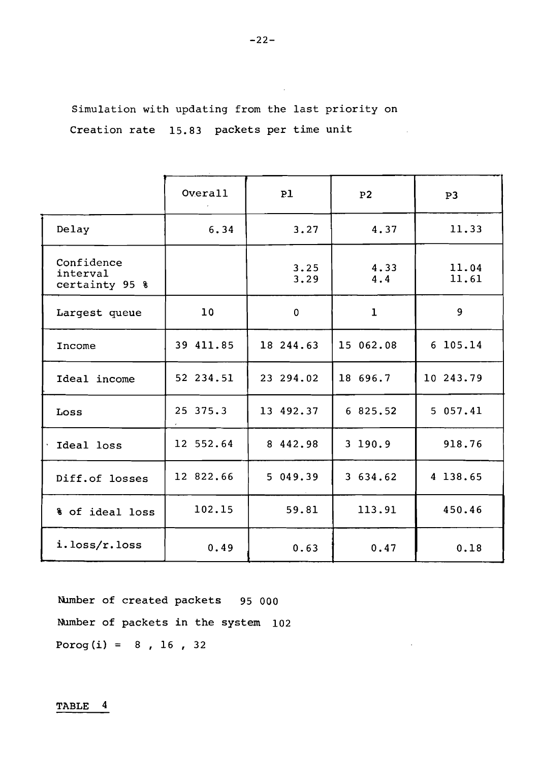Simulation with updating from the last priority on Creation rate 15.83 packets per time unit  $\mathcal{L}^{\text{max}}_{\text{max}}$ 

|                                          | Overall   | P <sub>1</sub> | P <sub>2</sub> | P <sub>3</sub> |
|------------------------------------------|-----------|----------------|----------------|----------------|
| Delay                                    | 6.34      | 3.27           | 4.37           | 11.33          |
| Confidence<br>interval<br>certainty 95 % |           | 3.25<br>3.29   | 4.33<br>4.4    | 11.04<br>11.61 |
| Largest queue                            | 10        | $\mathbf 0$    | $\mathbf 1$    | 9              |
| Income                                   | 39 411.85 | 18 244.63      | 15 062.08      | 6 105.14       |
| Ideal income                             | 52 234.51 | 23 294.02      | 18 696.7       | 10 243.79      |
| Loss                                     | 25, 375.3 | 13 492.37      | 6 825.52       | 5 057.41       |
| Ideal loss<br>¥.                         | 12 552.64 | 8 442.98       | 3 190.9        | 918.76         |
| Diff.of losses                           | 12 822.66 | 5 049.39       | 3 634.62       | 4 138.65       |
| % of ideal loss                          | 102.15    | 59.81          | 113.91         | 450.46         |
| i.loss/r.loss                            | 0.49      | 0.63           | 0.47           | 0.18           |

NUmber of created packets 95 000 Number of packets in the system 102 Porog(i) =  $8, 16, 32$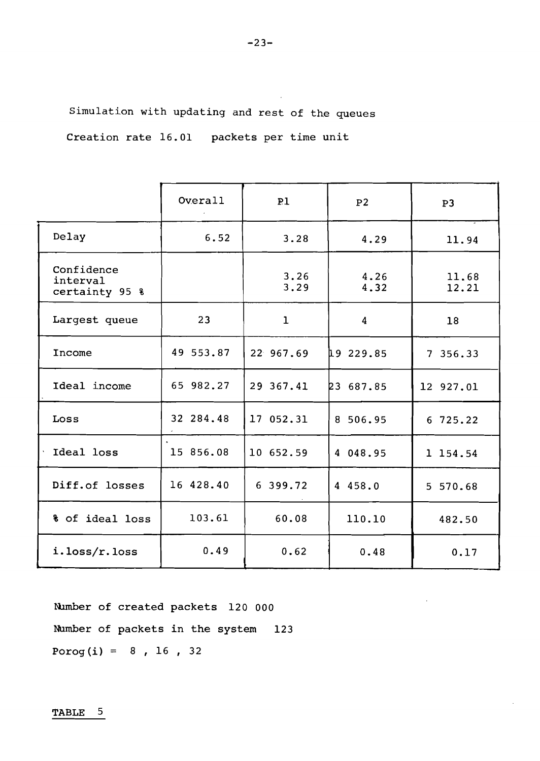Simulation with updating and rest of the queues

Creation rate 16.01 packets per time unit

|                                          | Overall   | P1           | P <sub>2</sub>          | P <sub>3</sub> |
|------------------------------------------|-----------|--------------|-------------------------|----------------|
| Delay                                    | 6.52      | 3.28         | 4.29                    | 11.94          |
| Confidence<br>interval<br>certainty 95 % |           | 3.26<br>3.29 | 4.26<br>4.32            | 11.68<br>12.21 |
| Largest queue                            | 23        | $\mathbf{1}$ | $\overline{\mathbf{4}}$ | 18             |
| Income                                   | 49 553.87 | 22 967.69    | <b>49 229.85</b>        | 7 356.33       |
| Ideal income                             | 65 982.27 | 29 367.41    | 23 687.85               | 12 927.01      |
| Loss                                     | 32 284.48 | 17 052.31    | 8 506.95                | 6 725.22       |
| Ideal loss                               | 15 856.08 | 10 652.59    | 4 048.95                | 1 154.54       |
| Diff.of losses                           | 16 428.40 | 6 399.72     | 4 458.0                 | 5 570.68       |
| % of ideal loss                          | 103.61    | 60.08        | 110.10                  | 482.50         |
| i.loss/r.loss                            | 0.49      | 0.62         | 0.48                    | 0.17           |

Number of created packets 120 000 Number of packets in the system 123 Porog(i) =  $8, 16, 32$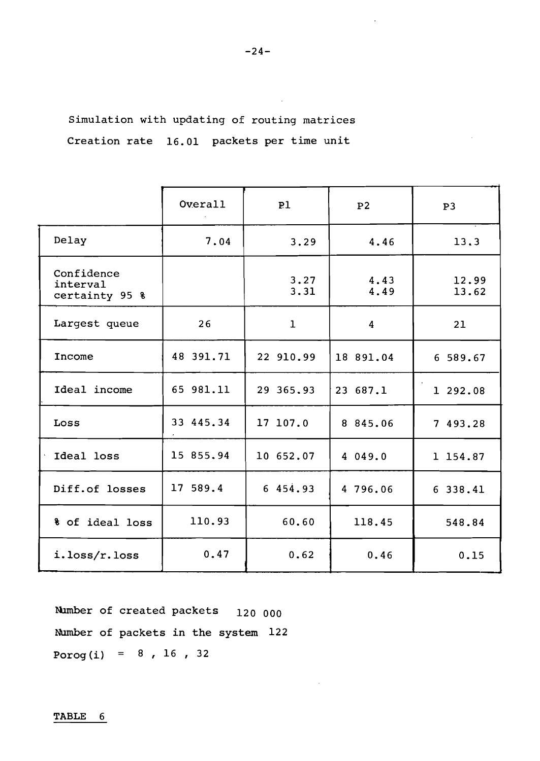Simulation with updating of routing matrices Creation rate 16.01 packets per time unit

|                                          | Overall   | P1           |                |                |
|------------------------------------------|-----------|--------------|----------------|----------------|
|                                          |           |              | P <sub>2</sub> | P <sub>3</sub> |
| Delay                                    | 7.04      | 3,29         | 4.46           | 13.3           |
| Confidence<br>interval<br>certainty 95 % |           | 3.27<br>3.31 | 4.43<br>4.49   | 12.99<br>13.62 |
| Largest queue                            | 26        | $\mathbf{1}$ | 4              | 21             |
| Income                                   | 48 391.71 | 22 910.99    | 18 891.04      | 6 589.67       |
| Ideal income                             | 65 981.11 | 29 365.93    | 23 687.1       | 1 292.08       |
| Loss                                     | 33 445.34 | 17 107.0     | 8 845.06       | 7 493.28       |
| Ideal loss                               | 15 855.94 | 10 652.07    | 4 049.0        | 1 154.87       |
| Diff.of losses                           | 17 589.4  | 6454.93      | 4 796.06       | 6 338.41       |
| % of ideal loss                          | 110.93    | 60.60        | 118.45         | 548.84         |
| i.loss/r.loss                            | 0.47      | 0.62         | 0.46           | 0.15           |

NUmber of created packets 120 <sup>000</sup> Number of packets in the system 122 Porog(i) = 8 , 16 , 32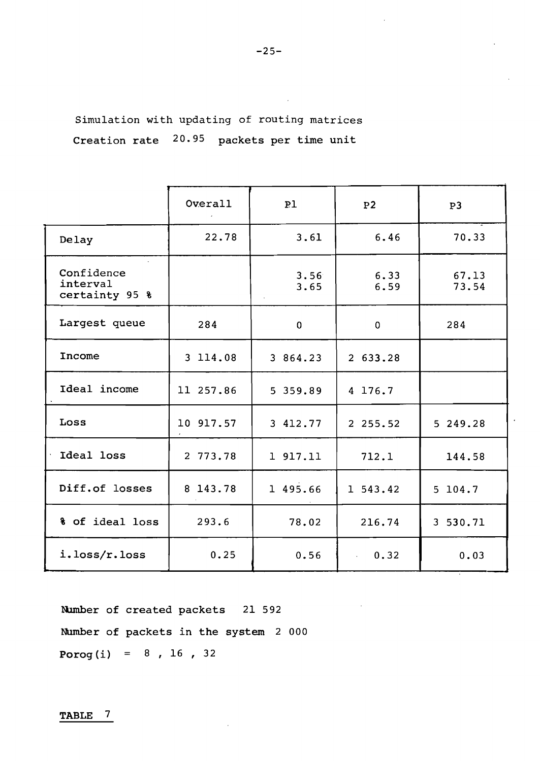Simulation with updating of routing matrices Creation rate 20.95 packets per time unit

|                                          | Overall   | P1           | P <sub>2</sub>                     | P <sub>3</sub> |
|------------------------------------------|-----------|--------------|------------------------------------|----------------|
| Delay                                    | 22.78     | 3.61         | 6.46                               | 70.33          |
| Confidence<br>interval<br>certainty 95 % |           | 3.56<br>3.65 | 6.33<br>6.59                       | 67.13<br>73.54 |
| Largest queue                            | 284       | $\mathbf 0$  | $\mathbf 0$                        | 284            |
| Income                                   | 3 114.08  | 3 864.23     | 2 633.28                           |                |
| Ideal income                             | 11 257.86 | 5 359.89     | 4 176.7                            |                |
| Loss                                     | 10 917.57 | 3 412.77     | 2 255.52                           | 5 249.28       |
| Ideal loss                               | 2 773.78  | 1 917.11     | 712.1                              | 144.58         |
| Diff.of losses                           | 8 143.78  | 1 495.66     | 1 543.42                           | 5104.7         |
| % of ideal loss                          | 293.6     | 78.02        | 216.74                             | 3 530.71       |
| i.loss/r.loss                            | 0.25      | 0.56         | 0.32<br>$\mathcal{L}^{\text{max}}$ | 0.03           |

Number of created packets 21 592 Number of packets in the system 2 000 Porog (i) = 8 , 16 , 32

# **TABLE 7**

-25-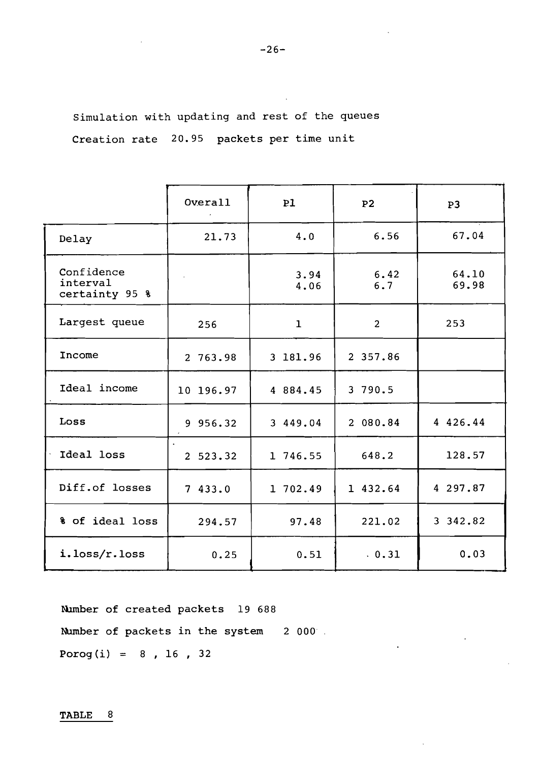Simulation with updating and rest of the queues

Creation rate 20.95 packets per time unit

|                                          | Overall             | P1           | P <sub>2</sub> | P <sub>3</sub> |
|------------------------------------------|---------------------|--------------|----------------|----------------|
| Delay                                    | 21.73               | 4.0          | 6.56           | 67.04          |
| Confidence<br>interval<br>certainty 95 % | $\mathcal{L}^{\pm}$ | 3.94<br>4.06 | 6.42<br>6.7    | 64.10<br>69.98 |
| Largest queue                            | 256                 | $\mathbf{1}$ | $\overline{2}$ | 253            |
| Income                                   | 2 763.98            | 3 181.96     | 2 357.86       |                |
| Ideal income                             | 10 196.97           | 4 884.45     | 3 790.5        |                |
| Loss                                     | 9 956.32            | 3 449.04     | 2 080.84       | 4 426.44       |
| Ideal loss                               | 2 523.32            | 1 746.55     | 648.2          | 128.57         |
| Diff.of losses                           | 7433.0              | 1 702.49     | 1 432.64       | 4 297.87       |
| % of ideal loss                          | 294.57              | 97.48        | 221.02         | 3 342.82       |
| i.loss/r.loss                            | 0.25                | 0.51         | . 0.31         | 0.03           |

NUmber of created packets 19 688 Number of packets in the system 2000. Porog(i) =  $8$ , 16, 32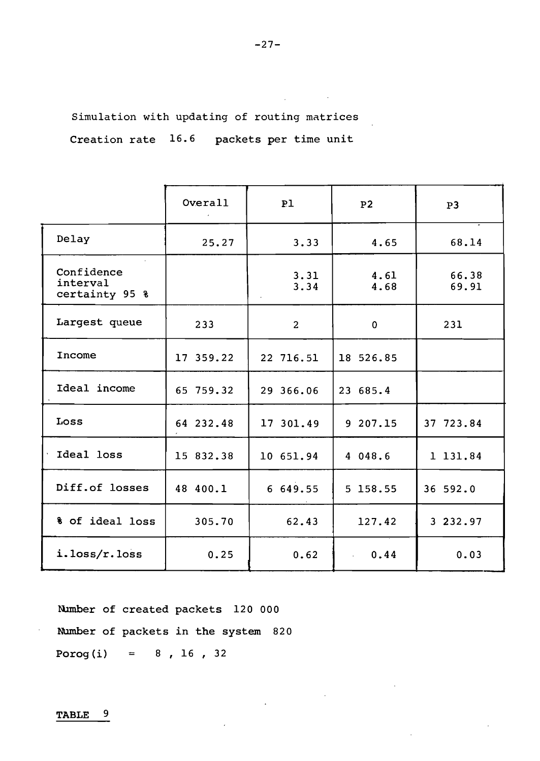Simulation with updating of routing matrices

Creation rate 16.6 packets per time unit

|                                                    | Overall<br>$\epsilon$ | P1             | P <sub>2</sub> | P <sub>3</sub> |
|----------------------------------------------------|-----------------------|----------------|----------------|----------------|
| Delay                                              | 25.27                 | 3.33           | 4.65           | 68.14          |
| $\sim$<br>Confidence<br>interval<br>certainty 95 % |                       | 3.31<br>3.34   | 4.61<br>4.68   | 66.38<br>69.91 |
| Largest queue                                      | 233                   | $\overline{2}$ | $\mathbf{0}$   | 231            |
| Income                                             | 17 359.22             | 22 716.51      | 18 526.85      |                |
| Ideal income                                       | 65 759.32             | 29 366.06      | 23 685.4       |                |
| Loss                                               | 64 232.48             | 17 301.49      | 9 207.15       | 37 723.84      |
| Ideal loss                                         | 15 832.38             | 10 651.94      | 4 048.6        | 1 131.84       |
| Diff.of losses                                     | 48 400.1              | 6 649.55       | 5 158.55       | 36 592.0       |
| % of ideal loss                                    | 305.70                | 62.43          | 127.42         | 3 232.97       |
| i.loss/r.loss                                      | 0.25                  | 0.62           | 0.44           | 0.03           |

 $\ddot{\phantom{a}}$ 

 $\hat{\boldsymbol{\epsilon}}$ 

NUmber of created packets 120 000 Number of packets in the system 820 Porog(i) =  $8$ , 16, 32

 $\epsilon$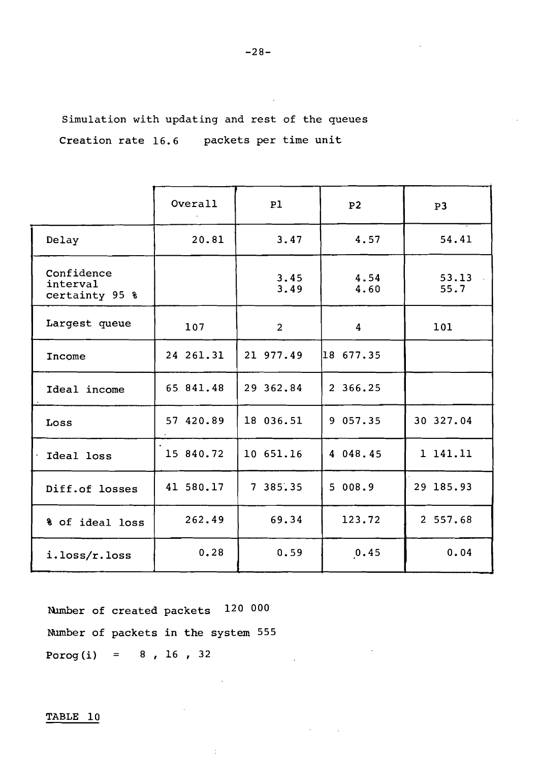Simulation with updating and rest of the queues Creation rate 16.6 packets per time unit

|                                          | Overall   | P <sub>1</sub> | P <sub>2</sub> | P <sub>3</sub> |
|------------------------------------------|-----------|----------------|----------------|----------------|
| Delay                                    | 20.81     | 3.47           | 4.57           | 54.41          |
| Confidence<br>interval<br>certainty 95 % |           | 3.45<br>3.49   | 4.54<br>4.60   | 53.13<br>55.7  |
| Largest queue                            | 107       | $\overline{2}$ | $\overline{4}$ | 101            |
| Income                                   | 24 261.31 | 21 977.49      | 18 677.35      |                |
| Ideal income                             | 65 841.48 | 29 362.84      | 2 366.25       |                |
| Loss                                     | 57 420.89 | 18 036.51      | 9 057.35       | 30 327.04      |
| Ideal loss                               | 15 840.72 | 10 651.16      | 4 048.45       | 1 141.11       |
| Diff.of losses                           | 41 580.17 | 7 385, 35      | 5008.9         | 29 185.93      |
| % of ideal loss                          | 262.49    | 69.34          | 123.72         | 2 557.68       |
| i.loss/r.loss                            | 0.28      | 0.59           | [0.45]         | 0.04           |

 $\sim$   $\sim$ 

Number of created packets 120 000 Number of packets in the system 555 Porog(i) = 8 , 16 , 32

÷,

## TABLE 10

 $-28-$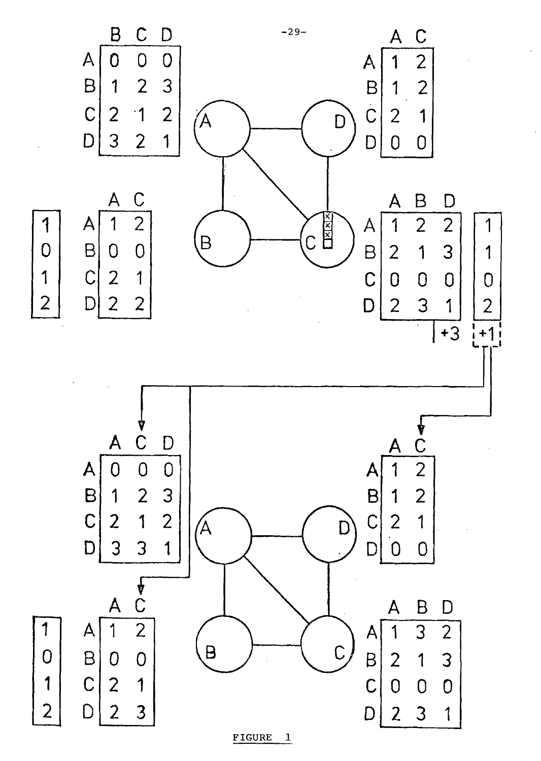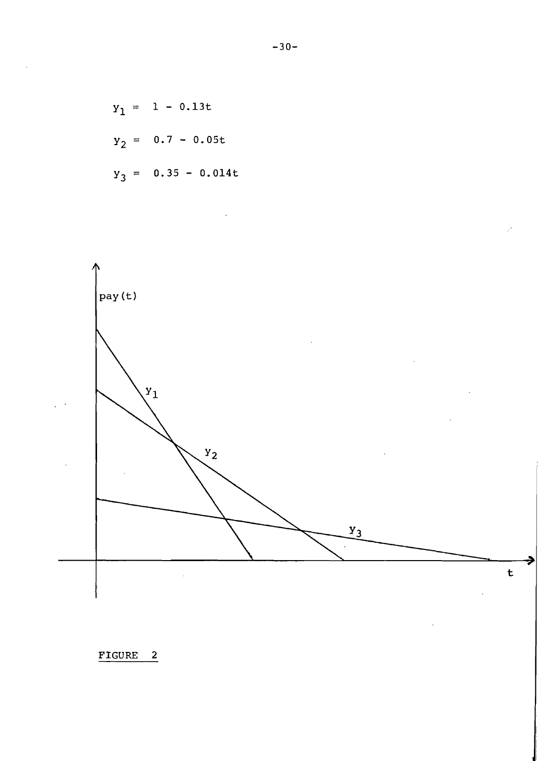$y_1 = 1 - 0.13t$  $Y_2 = 0.7 - 0.05t$  $Y_3 = 0.35 - 0.014t$ 



# FIGURE 2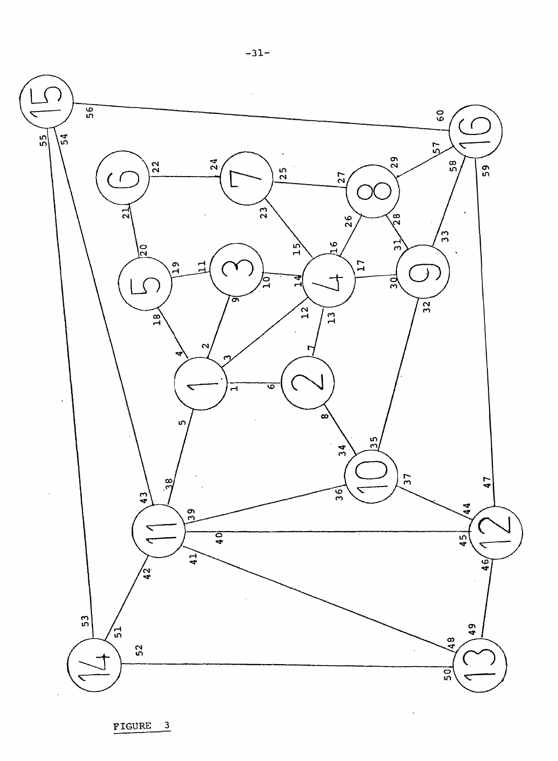

 $FIGURE \underline{3}$